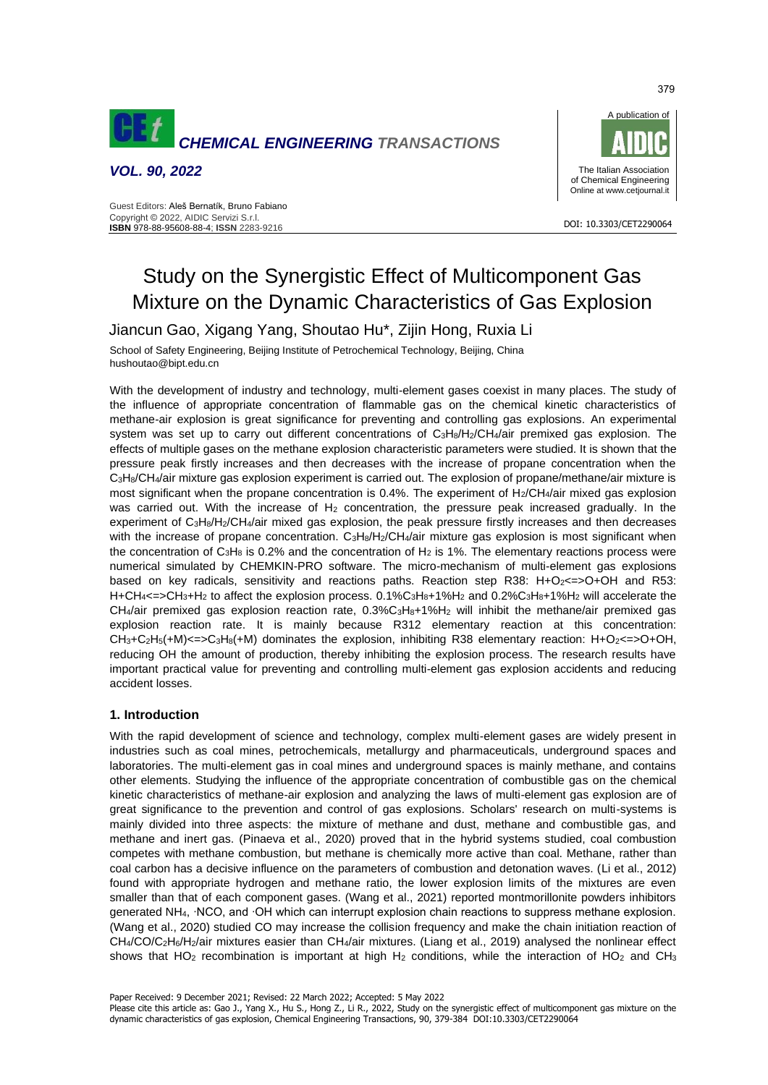

*VOL. 90, 2022*

Guest Editors: Aleš Bernatík, Bruno Fabiano Copyright © 2022, AIDIC Servizi S.r.l. **ISBN** 978-88-95608-88-4; **ISSN** 2283-9216



DOI: 10.3303/CET2290064

# Study on the Synergistic Effect of Multicomponent Gas Mixture on the Dynamic Characteristics of Gas Explosion

Jiancun Gao, Xigang Yang, Shoutao Hu\*, Zijin Hong, Ruxia Li

School of Safety Engineering, Beijing Institute of Petrochemical Technology, Beijing, China [hushoutao@bipt.edu.cn](mailto:hushoutao@bipt.edu.cn)

With the development of industry and technology, multi-element gases coexist in many places. The study of the influence of appropriate concentration of flammable gas on the chemical kinetic characteristics of methane-air explosion is great significance for preventing and controlling gas explosions. An experimental system was set up to carry out different concentrations of C<sub>3</sub>H<sub>8</sub>/H<sub>2</sub>/CH<sub>4</sub>/air premixed gas explosion. The effects of multiple gases on the methane explosion characteristic parameters were studied. It is shown that the pressure peak firstly increases and then decreases with the increase of propane concentration when the  $C_3H_8/CH_4/air$  mixture gas explosion experiment is carried out. The explosion of propane/methane/air mixture is most significant when the propane concentration is 0.4%. The experiment of H<sub>2</sub>/CH<sub>4</sub>/air mixed gas explosion was carried out. With the increase of H<sub>2</sub> concentration, the pressure peak increased gradually. In the experiment of C3H8/H2/CH4/air mixed gas explosion, the peak pressure firstly increases and then decreases with the increase of propane concentration. C<sub>3</sub>H<sub>8</sub>/H<sub>2</sub>/CH<sub>4</sub>/air mixture gas explosion is most significant when the concentration of  $C_3H_8$  is 0.2% and the concentration of  $H_2$  is 1%. The elementary reactions process were numerical simulated by CHEMKIN-PRO software. The micro-mechanism of multi-element gas explosions based on key radicals, sensitivity and reactions paths. Reaction step R38: H+O<sub>2</sub><=>O+OH and R53:  $H + CH_4 \leq > CH_3 + H_2$  to affect the explosion process. 0.1%C<sub>3</sub>H<sub>8</sub>+1%H<sub>2</sub> and 0.2%C<sub>3</sub>H<sub>8</sub>+1%H<sub>2</sub> will accelerate the  $CH<sub>4</sub>/air$  premixed gas explosion reaction rate,  $0.3\%C<sub>3</sub>H<sub>8</sub>+1\%H<sub>2</sub>$  will inhibit the methane/air premixed gas explosion reaction rate. It is mainly because R312 elementary reaction at this concentration:  $CH<sub>3</sub>+C<sub>2</sub>H<sub>5</sub>(+M)<sub><</sub>=>C<sub>3</sub>H<sub>8</sub>(+M)$  dominates the explosion, inhibiting R38 elementary reaction: H+O<sub>2</sub><= $>O+OH$ , reducing OH the amount of production, thereby inhibiting the explosion process. The research results have important practical value for preventing and controlling multi-element gas explosion accidents and reducing accident losses.

# **1. Introduction**

With the rapid development of science and technology, complex multi-element gases are widely present in industries such as coal mines, petrochemicals, metallurgy and pharmaceuticals, underground spaces and laboratories. The multi-element gas in coal mines and underground spaces is mainly methane, and contains other elements. Studying the influence of the appropriate concentration of combustible gas on the chemical kinetic characteristics of methane-air explosion and analyzing the laws of multi-element gas explosion are of great significance to the prevention and control of gas explosions. Scholars' research on multi-systems is mainly divided into three aspects: the mixture of methane and dust, methane and combustible gas, and methane and inert gas. (Pinaeva et al., 2020) proved that in the hybrid systems studied, coal combustion competes with methane combustion, but methane is chemically more active than coal. Methane, rather than coal carbon has a decisive influence on the parameters of combustion and detonation waves. (Li et al., 2012) found with appropriate hydrogen and methane ratio, the lower explosion limits of the mixtures are even smaller than that of each component gases. (Wang et al., 2021) reported montmorillonite powders inhibitors generated NH4, ∙NCO, and ∙OH which can interrupt explosion chain reactions to suppress methane explosion. (Wang et al., 2020) studied CO may increase the collision frequency and make the chain initiation reaction of CH4/CO/C2H6/H2/air mixtures easier than CH4/air mixtures. (Liang et al., 2019) analysed the nonlinear effect shows that HO<sub>2</sub> recombination is important at high H<sub>2</sub> conditions, while the interaction of HO<sub>2</sub> and CH<sub>3</sub>

Paper Received: 9 December 2021; Revised: 22 March 2022; Accepted: 5 May 2022

Please cite this article as: Gao J., Yang X., Hu S., Hong Z., Li R., 2022, Study on the synergistic effect of multicomponent gas mixture on the dynamic characteristics of gas explosion, Chemical Engineering Transactions, 90, 379-384 DOI:10.3303/CET2290064

379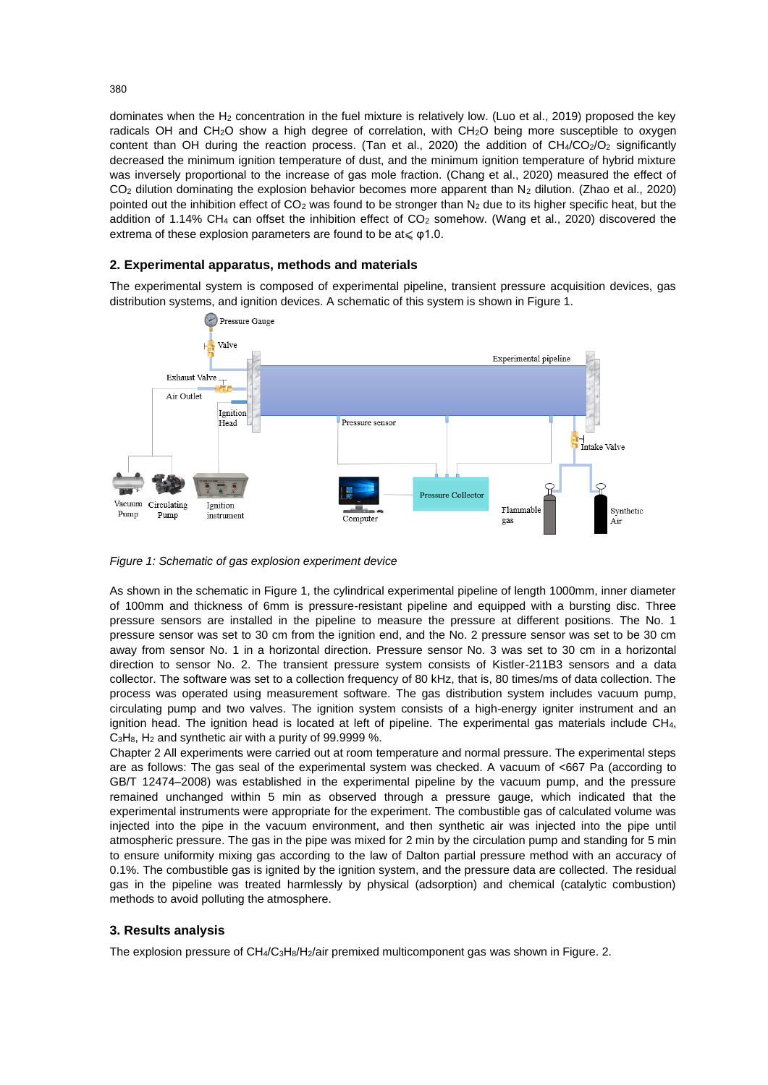dominates when the H<sub>2</sub> concentration in the fuel mixture is relatively low. (Luo et al., 2019) proposed the key radicals OH and CH<sub>2</sub>O show a high degree of correlation, with CH<sub>2</sub>O being more susceptible to oxygen content than OH during the reaction process. (Tan et al., 2020) the addition of CH4/CO2/O2 significantly decreased the minimum ignition temperature of dust, and the minimum ignition temperature of hybrid mixture was inversely proportional to the increase of gas mole fraction. (Chang et al., 2020) measured the effect of  $CO<sub>2</sub>$  dilution dominating the explosion behavior becomes more apparent than N<sub>2</sub> dilution. (Zhao et al., 2020) pointed out the inhibition effect of CO<sub>2</sub> was found to be stronger than N<sub>2</sub> due to its higher specific heat, but the addition of 1.14% CH<sub>4</sub> can offset the inhibition effect of CO<sub>2</sub> somehow. (Wang et al., 2020) discovered the extrema of these explosion parameters are found to be  $at \leq \varphi$ 1.0.

## **2. Experimental apparatus, methods and materials**

The experimental system is composed of experimental pipeline, transient pressure acquisition devices, gas distribution systems, and ignition devices. A schematic of this system is shown in Figure 1.



*Figure 1: Schematic of gas explosion experiment device*

As shown in the schematic in Figure 1, the cylindrical experimental pipeline of length 1000mm, inner diameter of 100mm and thickness of 6mm is pressure-resistant pipeline and equipped with a bursting disc. Three pressure sensors are installed in the pipeline to measure the pressure at different positions. The No. 1 pressure sensor was set to 30 cm from the ignition end, and the No. 2 pressure sensor was set to be 30 cm away from sensor No. 1 in a horizontal direction. Pressure sensor No. 3 was set to 30 cm in a horizontal direction to sensor No. 2. The transient pressure system consists of Kistler-211B3 sensors and a data collector. The software was set to a collection frequency of 80 kHz, that is, 80 times/ms of data collection. The process was operated using measurement software. The gas distribution system includes vacuum pump, circulating pump and two valves. The ignition system consists of a high-energy igniter instrument and an ignition head. The ignition head is located at left of pipeline. The experimental gas materials include CH4,  $C_3H_8$ ,  $H_2$  and synthetic air with a purity of 99.9999 %.

Chapter 2 All experiments were carried out at room temperature and normal pressure. The experimental steps are as follows: The gas seal of the experimental system was checked. A vacuum of <667 Pa (according to GB/T 12474–2008) was established in the experimental pipeline by the vacuum pump, and the pressure remained unchanged within 5 min as observed through a pressure gauge, which indicated that the experimental instruments were appropriate for the experiment. The combustible gas of calculated volume was injected into the pipe in the vacuum environment, and then synthetic air was injected into the pipe until atmospheric pressure. The gas in the pipe was mixed for 2 min by the circulation pump and standing for 5 min to ensure uniformity mixing gas according to the law of Dalton partial pressure method with an accuracy of 0.1%. The combustible gas is ignited by the ignition system, and the pressure data are collected. The residual gas in the pipeline was treated harmlessly by physical (adsorption) and chemical (catalytic combustion) methods to avoid polluting the atmosphere.

## **3. Results analysis**

The explosion pressure of CH4/C<sub>3</sub>H<sub>8</sub>/H<sub>2</sub>/air premixed multicomponent gas was shown in Figure. 2.

380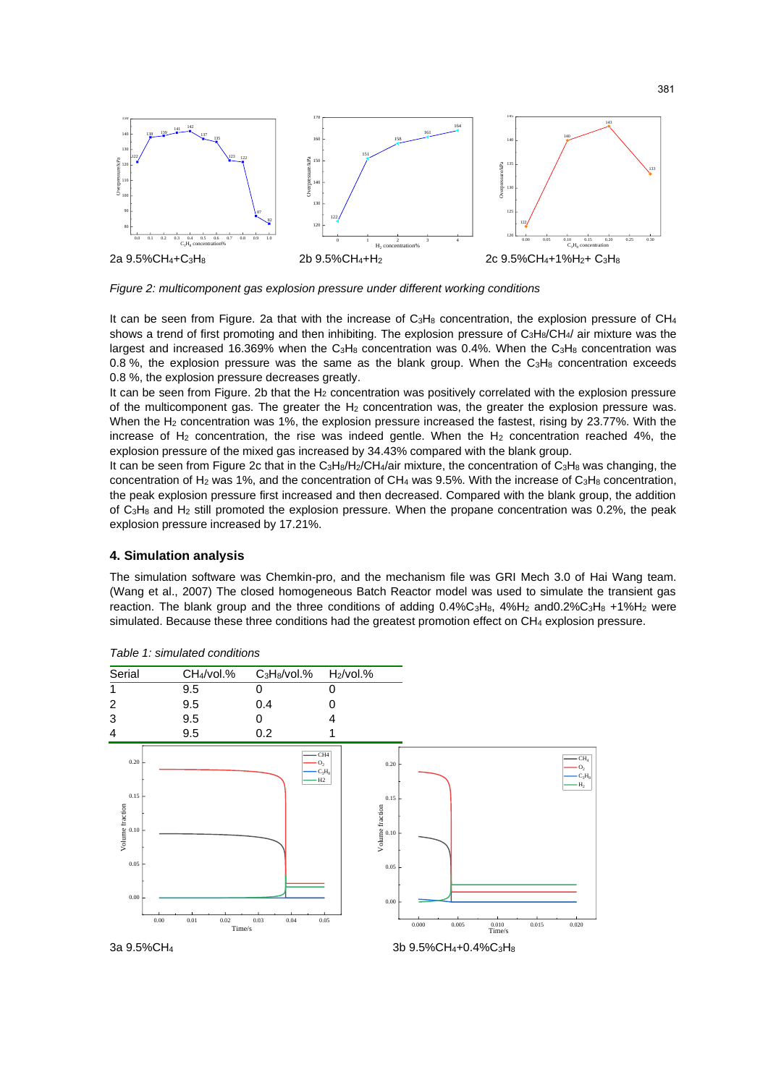

*Figure 2: multicomponent gas explosion pressure under different working conditions*

It can be seen from Figure. 2a that with the increase of  $C_3H_8$  concentration, the explosion pressure of  $CH_4$ shows a trend of first promoting and then inhibiting. The explosion pressure of  $C_3H_8/CH_4/$  air mixture was the largest and increased 16.369% when the C<sub>3</sub>H<sub>8</sub> concentration was 0.4%. When the C<sub>3</sub>H<sub>8</sub> concentration was 0.8 %, the explosion pressure was the same as the blank group. When the  $C_3H_8$  concentration exceeds 0.8 %, the explosion pressure decreases greatly.

It can be seen from Figure. 2b that the H<sub>2</sub> concentration was positively correlated with the explosion pressure of the multicomponent gas. The greater the  $H_2$  concentration was, the greater the explosion pressure was. When the H<sub>2</sub> concentration was 1%, the explosion pressure increased the fastest, rising by 23.77%. With the increase of  $H_2$  concentration, the rise was indeed gentle. When the  $H_2$  concentration reached 4%, the explosion pressure of the mixed gas increased by 34.43% compared with the blank group.

It can be seen from Figure 2c that in the C<sub>3</sub>H<sub>8</sub>/H<sub>2</sub>/CH<sub>4</sub>/air mixture, the concentration of C<sub>3</sub>H<sub>8</sub> was changing, the concentration of H<sub>2</sub> was 1%, and the concentration of CH<sub>4</sub> was 9.5%. With the increase of C<sub>3</sub>H<sub>8</sub> concentration, the peak explosion pressure first increased and then decreased. Compared with the blank group, the addition of C3H<sup>8</sup> and H<sup>2</sup> still promoted the explosion pressure. When the propane concentration was 0.2%, the peak explosion pressure increased by 17.21%.

#### **4. Simulation analysis**

The simulation software was Chemkin-pro, and the mechanism file was GRI Mech 3.0 of Hai Wang team. (Wang et al., 2007) The closed homogeneous Batch Reactor model was used to simulate the transient gas reaction. The blank group and the three conditions of adding  $0.4\%C_3H_8$ ,  $4\%H_2$  and $0.2\%C_3H_8$  +1%H<sub>2</sub> were simulated. Because these three conditions had the greatest promotion effect on CH<sub>4</sub> explosion pressure.



*Table 1: simulated conditions*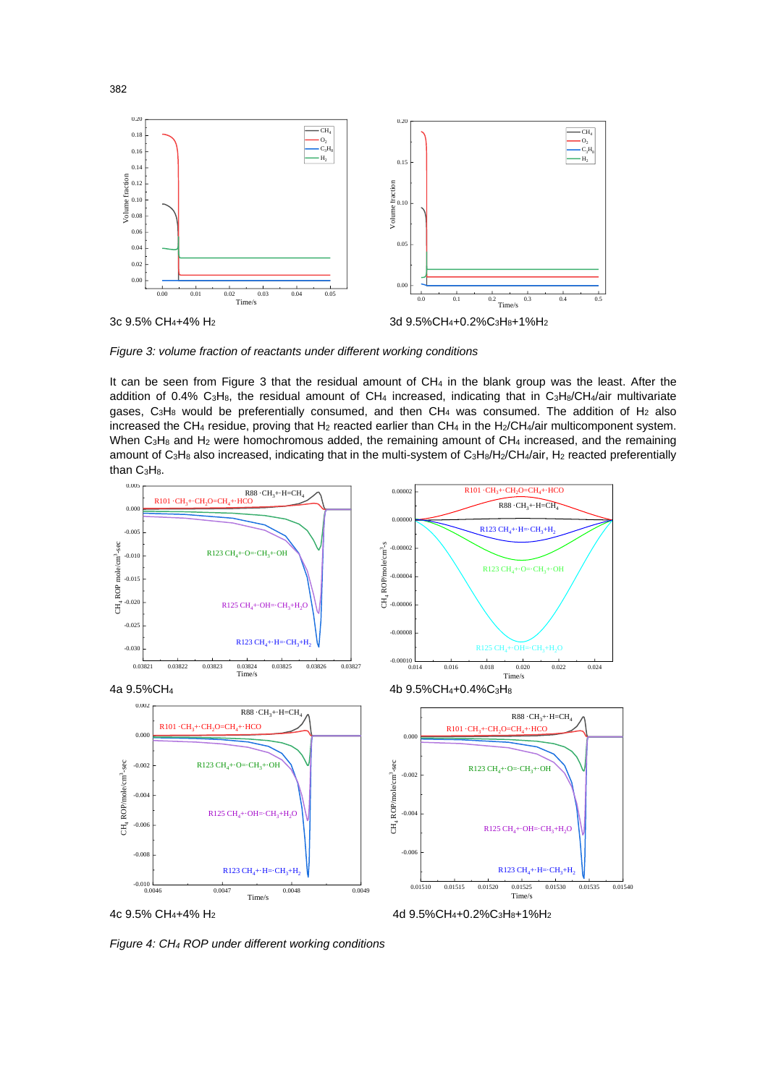

*Figure 3: volume fraction of reactants under different working conditions*

It can be seen from Figure 3 that the residual amount of CH<sub>4</sub> in the blank group was the least. After the addition of 0.4% C<sub>3</sub>H<sub>8</sub>, the residual amount of CH<sub>4</sub> increased, indicating that in C<sub>3</sub>H<sub>8</sub>/CH<sub>4</sub>/air multivariate gases,  $C_3H_8$  would be preferentially consumed, and then  $CH_4$  was consumed. The addition of  $H_2$  also increased the CH<sub>4</sub> residue, proving that H<sub>2</sub> reacted earlier than CH<sub>4</sub> in the H<sub>2</sub>/CH<sub>4</sub>/air multicomponent system. When  $C_3H_8$  and  $H_2$  were homochromous added, the remaining amount of  $CH_4$  increased, and the remaining amount of C<sub>3</sub>H<sub>8</sub> also increased, indicating that in the multi-system of C<sub>3</sub>H<sub>8</sub>/H<sub>2</sub>/CH<sub>4</sub>/air, H<sub>2</sub> reacted preferentially than C3H8.



*Figure 4: CH<sup>4</sup> ROP under different working conditions*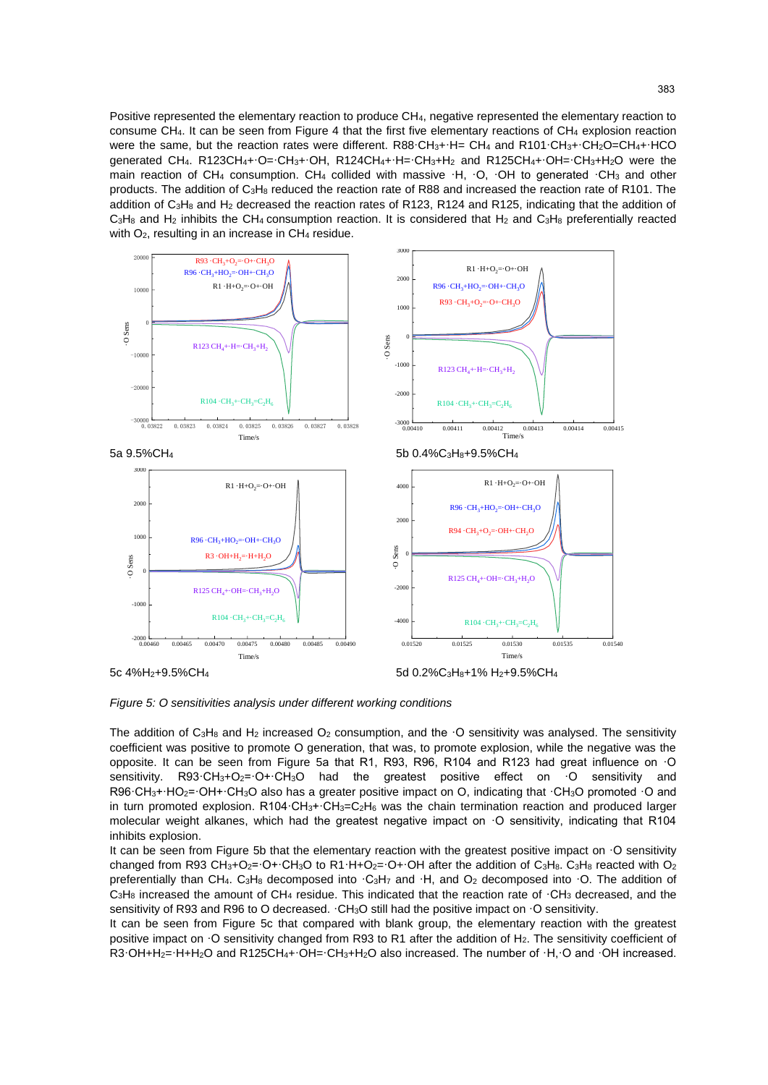Positive represented the elementary reaction to produce CH4, negative represented the elementary reaction to consume CH4. It can be seen from Figure 4 that the first five elementary reactions of CH<sup>4</sup> explosion reaction were the same, but the reaction rates were different. R88·CH<sub>3</sub>+·H= CH<sub>4</sub> and R101·CH<sub>3</sub>+·CH<sub>2</sub>O=CH<sub>4</sub>+·HCO generated CH<sub>4</sub>. R123CH<sub>4</sub>+·O=·CH<sub>3</sub>+·OH, R124CH<sub>4</sub>+·H=·CH<sub>3</sub>+H<sub>2</sub> and R125CH<sub>4</sub>+·OH=·CH<sub>3</sub>+H<sub>2</sub>O were the main reaction of CH<sub>4</sub> consumption. CH<sub>4</sub> collided with massive ·H, ·O, ·OH to generated ·CH<sub>3</sub> and other products. The addition of C3H<sup>8</sup> reduced the reaction rate of R88 and increased the reaction rate of R101. The addition of C<sub>3</sub>H<sub>8</sub> and H<sub>2</sub> decreased the reaction rates of R123, R124 and R125, indicating that the addition of  $C_3H_8$  and  $H_2$  inhibits the CH<sub>4</sub> consumption reaction. It is considered that  $H_2$  and  $C_3H_8$  preferentially reacted with  $O_2$ , resulting in an increase in  $CH_4$  residue.



*Figure 5: O sensitivities analysis under different working conditions*

The addition of  $C_3H_8$  and  $H_2$  increased  $O_2$  consumption, and the  $\cdot$ O sensitivity was analysed. The sensitivity coefficient was positive to promote O generation, that was, to promote explosion, while the negative was the opposite. It can be seen from Figure 5a that R1, R93, R96, R104 and R123 had great influence on ·O sensitivity. R93·CH<sub>3</sub>+O<sub>2</sub>=·O+·CH<sub>3</sub>O had the greatest positive effect on ·O sensitivity and R96·CH<sub>3</sub>+·HO<sub>2</sub>=·OH+·CH<sub>3</sub>O also has a greater positive impact on O, indicating that ·CH<sub>3</sub>O promoted ·O and in turn promoted explosion. R104·CH<sub>3</sub>+·CH<sub>3</sub>=C<sub>2</sub>H<sub>6</sub> was the chain termination reaction and produced larger molecular weight alkanes, which had the greatest negative impact on ·O sensitivity, indicating that R104 inhibits explosion.

It can be seen from Figure 5b that the elementary reaction with the greatest positive impact on  $\cdot$ O sensitivity changed from R93 CH<sub>3</sub>+O<sub>2</sub>=·O+·CH<sub>3</sub>O to R1·H+O<sub>2</sub>=·O+·OH after the addition of C<sub>3</sub>H<sub>8</sub>. C<sub>3</sub>H<sub>8</sub> reacted with O<sub>2</sub> preferentially than CH<sub>4</sub>. C<sub>3</sub>H<sub>8</sub> decomposed into  $\cdot$ C<sub>3</sub>H<sub>7</sub> and  $\cdot$ H, and O<sub>2</sub> decomposed into  $\cdot$ O. The addition of  $C_3H_8$  increased the amount of CH<sub>4</sub> residue. This indicated that the reaction rate of  $\cdot$ CH<sub>3</sub> decreased, and the sensitivity of R93 and R96 to O decreased. · CH<sub>3</sub>O still had the positive impact on · O sensitivity.

It can be seen from Figure 5c that compared with blank group, the elementary reaction with the greatest positive impact on ·O sensitivity changed from R93 to R1 after the addition of H<sub>2</sub>. The sensitivity coefficient of R3·OH+H<sub>2</sub>=·H+H<sub>2</sub>O and R125CH<sub>4</sub>+·OH=·CH<sub>3</sub>+H<sub>2</sub>O also increased. The number of ·H,·O and ·OH increased.